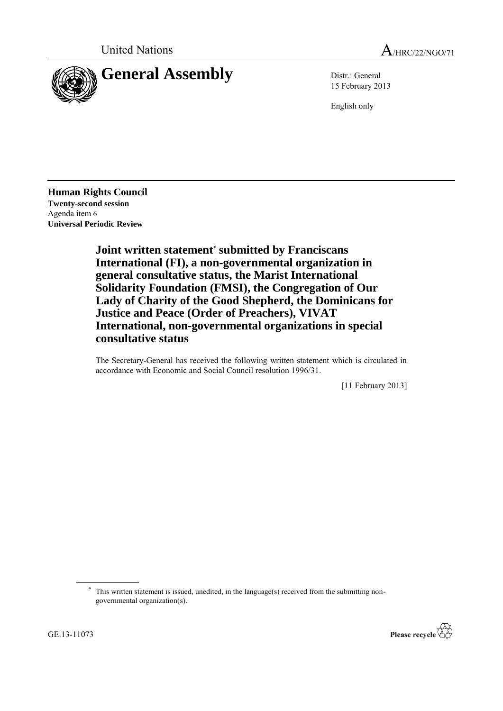

15 February 2013

English only

**Human Rights Council Twenty-second session** Agenda item 6 **Universal Periodic Review**

> **Joint written statement**\* **submitted by Franciscans International (FI), a non-governmental organization in general consultative status, the Marist International Solidarity Foundation (FMSI), the Congregation of Our Lady of Charity of the Good Shepherd, the Dominicans for Justice and Peace (Order of Preachers), VIVAT International, non-governmental organizations in special consultative status**

The Secretary-General has received the following written statement which is circulated in accordance with Economic and Social Council resolution 1996/31.

[11 February 2013]



<sup>\*</sup> This written statement is issued, unedited, in the language(s) received from the submitting nongovernmental organization(s).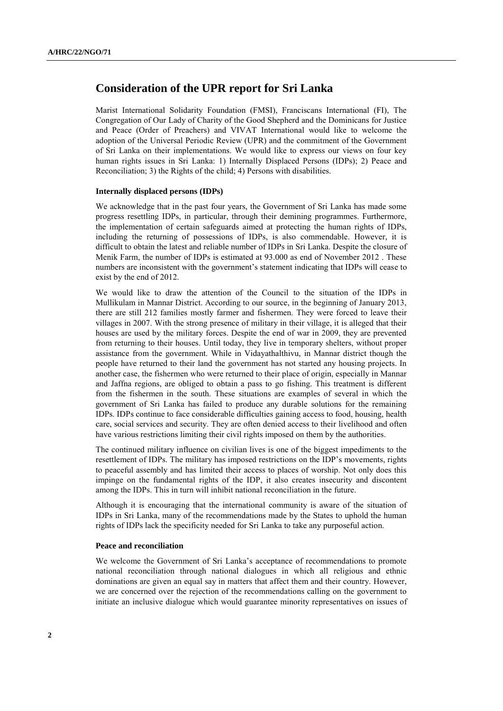# **Consideration of the UPR report for Sri Lanka**

Marist International Solidarity Foundation (FMSI), Franciscans International (FI), The Congregation of Our Lady of Charity of the Good Shepherd and the Dominicans for Justice and Peace (Order of Preachers) and VIVAT International would like to welcome the adoption of the Universal Periodic Review (UPR) and the commitment of the Government of Sri Lanka on their implementations. We would like to express our views on four key human rights issues in Sri Lanka: 1) Internally Displaced Persons (IDPs); 2) Peace and Reconciliation; 3) the Rights of the child; 4) Persons with disabilities.

## **Internally displaced persons (IDPs)**

We acknowledge that in the past four years, the Government of Sri Lanka has made some progress resettling IDPs, in particular, through their demining programmes. Furthermore, the implementation of certain safeguards aimed at protecting the human rights of IDPs, including the returning of possessions of IDPs, is also commendable. However, it is difficult to obtain the latest and reliable number of IDPs in Sri Lanka. Despite the closure of Menik Farm, the number of IDPs is estimated at 93.000 as end of November 2012 . These numbers are inconsistent with the government's statement indicating that IDPs will cease to exist by the end of 2012.

We would like to draw the attention of the Council to the situation of the IDPs in Mullikulam in Mannar District. According to our source, in the beginning of January 2013, there are still 212 families mostly farmer and fishermen. They were forced to leave their villages in 2007. With the strong presence of military in their village, it is alleged that their houses are used by the military forces. Despite the end of war in 2009, they are prevented from returning to their houses. Until today, they live in temporary shelters, without proper assistance from the government. While in Vidayathalthivu, in Mannar district though the people have returned to their land the government has not started any housing projects. In another case, the fishermen who were returned to their place of origin, especially in Mannar and Jaffna regions, are obliged to obtain a pass to go fishing. This treatment is different from the fishermen in the south. These situations are examples of several in which the government of Sri Lanka has failed to produce any durable solutions for the remaining IDPs. IDPs continue to face considerable difficulties gaining access to food, housing, health care, social services and security. They are often denied access to their livelihood and often have various restrictions limiting their civil rights imposed on them by the authorities.

The continued military influence on civilian lives is one of the biggest impediments to the resettlement of IDPs. The military has imposed restrictions on the IDP's movements, rights to peaceful assembly and has limited their access to places of worship. Not only does this impinge on the fundamental rights of the IDP, it also creates insecurity and discontent among the IDPs. This in turn will inhibit national reconciliation in the future.

Although it is encouraging that the international community is aware of the situation of IDPs in Sri Lanka, many of the recommendations made by the States to uphold the human rights of IDPs lack the specificity needed for Sri Lanka to take any purposeful action.

## **Peace and reconciliation**

We welcome the Government of Sri Lanka's acceptance of recommendations to promote national reconciliation through national dialogues in which all religious and ethnic dominations are given an equal say in matters that affect them and their country. However, we are concerned over the rejection of the recommendations calling on the government to initiate an inclusive dialogue which would guarantee minority representatives on issues of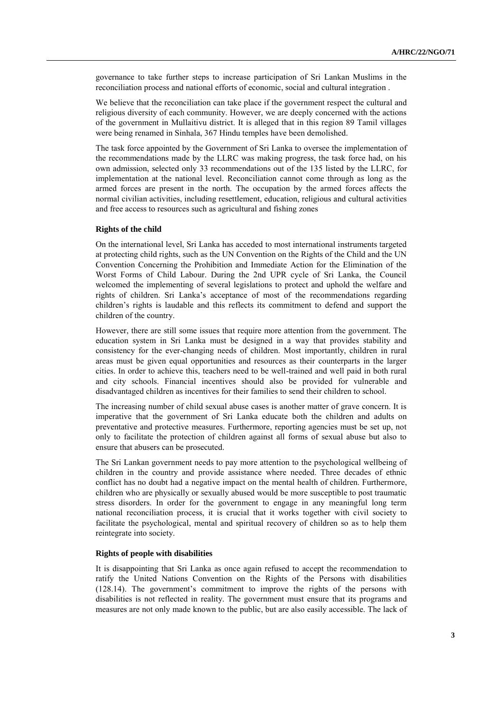governance to take further steps to increase participation of Sri Lankan Muslims in the reconciliation process and national efforts of economic, social and cultural integration .

We believe that the reconciliation can take place if the government respect the cultural and religious diversity of each community. However, we are deeply concerned with the actions of the government in Mullaitivu district. It is alleged that in this region 89 Tamil villages were being renamed in Sinhala, 367 Hindu temples have been demolished.

The task force appointed by the Government of Sri Lanka to oversee the implementation of the recommendations made by the LLRC was making progress, the task force had, on his own admission, selected only 33 recommendations out of the 135 listed by the LLRC, for implementation at the national level. Reconciliation cannot come through as long as the armed forces are present in the north. The occupation by the armed forces affects the normal civilian activities, including resettlement, education, religious and cultural activities and free access to resources such as agricultural and fishing zones

#### **Rights of the child**

On the international level, Sri Lanka has acceded to most international instruments targeted at protecting child rights, such as the UN Convention on the Rights of the Child and the UN Convention Concerning the Prohibition and Immediate Action for the Elimination of the Worst Forms of Child Labour. During the 2nd UPR cycle of Sri Lanka, the Council welcomed the implementing of several legislations to protect and uphold the welfare and rights of children. Sri Lanka's acceptance of most of the recommendations regarding children's rights is laudable and this reflects its commitment to defend and support the children of the country.

However, there are still some issues that require more attention from the government. The education system in Sri Lanka must be designed in a way that provides stability and consistency for the ever-changing needs of children. Most importantly, children in rural areas must be given equal opportunities and resources as their counterparts in the larger cities. In order to achieve this, teachers need to be well-trained and well paid in both rural and city schools. Financial incentives should also be provided for vulnerable and disadvantaged children as incentives for their families to send their children to school.

The increasing number of child sexual abuse cases is another matter of grave concern. It is imperative that the government of Sri Lanka educate both the children and adults on preventative and protective measures. Furthermore, reporting agencies must be set up, not only to facilitate the protection of children against all forms of sexual abuse but also to ensure that abusers can be prosecuted.

The Sri Lankan government needs to pay more attention to the psychological wellbeing of children in the country and provide assistance where needed. Three decades of ethnic conflict has no doubt had a negative impact on the mental health of children. Furthermore, children who are physically or sexually abused would be more susceptible to post traumatic stress disorders. In order for the government to engage in any meaningful long term national reconciliation process, it is crucial that it works together with civil society to facilitate the psychological, mental and spiritual recovery of children so as to help them reintegrate into society.

## **Rights of people with disabilities**

It is disappointing that Sri Lanka as once again refused to accept the recommendation to ratify the United Nations Convention on the Rights of the Persons with disabilities (128.14). The government's commitment to improve the rights of the persons with disabilities is not reflected in reality. The government must ensure that its programs and measures are not only made known to the public, but are also easily accessible. The lack of